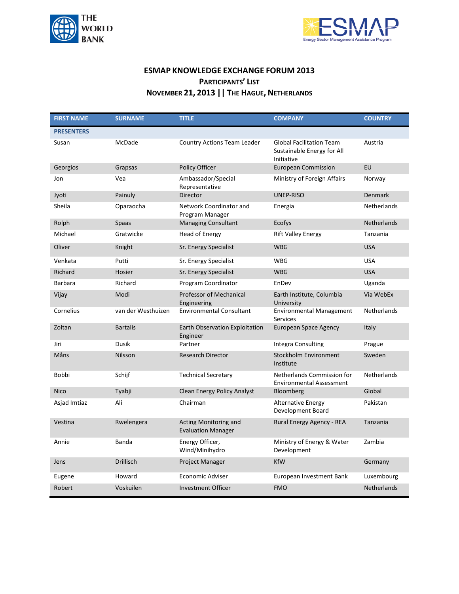



## **ESMAP KNOWLEDGE EXCHANGE FORUM 2013 PARTICIPANTS' LIST NOVEMBER 21, 2013 || THE HAGUE, NETHERLANDS**

| <b>FIRST NAME</b> | <b>SURNAME</b>     | <b>TITLE</b>                                       | <b>COMPANY</b>                                                              | <b>COUNTRY</b>     |
|-------------------|--------------------|----------------------------------------------------|-----------------------------------------------------------------------------|--------------------|
| <b>PRESENTERS</b> |                    |                                                    |                                                                             |                    |
| Susan             | McDade             | Country Actions Team Leader                        | <b>Global Facilitation Team</b><br>Sustainable Energy for All<br>Initiative | Austria            |
| Georgios          | Grapsas            | Policy Officer                                     | <b>European Commission</b>                                                  | EU                 |
| Jon               | Vea                | Ambassador/Special<br>Representative               | Ministry of Foreign Affairs                                                 | Norway             |
| Jyoti             | Painuly            | Director                                           | <b>UNEP-RISO</b>                                                            | <b>Denmark</b>     |
| Sheila            | Oparaocha          | Network Coordinator and<br>Program Manager         | Energia                                                                     | <b>Netherlands</b> |
| Rolph             | Spaas              | <b>Managing Consultant</b>                         | Ecofys                                                                      | Netherlands        |
| Michael           | Gratwicke          | <b>Head of Energy</b>                              | <b>Rift Valley Energy</b>                                                   | Tanzania           |
| Oliver            | Knight             | Sr. Energy Specialist                              | <b>WBG</b>                                                                  | <b>USA</b>         |
| Venkata           | Putti              | Sr. Energy Specialist                              | <b>WBG</b>                                                                  | <b>USA</b>         |
| Richard           | Hosier             | Sr. Energy Specialist                              | <b>WBG</b>                                                                  | <b>USA</b>         |
| <b>Barbara</b>    | Richard            | Program Coordinator                                | EnDev                                                                       | Uganda             |
| Vijay             | Modi               | Professor of Mechanical<br>Engineering             | Earth Institute, Columbia<br>University                                     | Via WebEx          |
| Cornelius         | van der Westhuizen | <b>Environmental Consultant</b>                    | <b>Environmental Management</b><br>Services                                 | Netherlands        |
| Zoltan            | <b>Bartalis</b>    | Earth Observation Exploitation<br>Engineer         | <b>European Space Agency</b>                                                | Italy              |
| Jiri              | Dusik              | Partner                                            | Integra Consulting                                                          | Prague             |
| Måns              | Nilsson            | <b>Research Director</b>                           | <b>Stockholm Environment</b><br>Institute                                   | Sweden             |
| Bobbi             | Schijf             | <b>Technical Secretary</b>                         | Netherlands Commission for<br><b>Environmental Assessment</b>               | Netherlands        |
| <b>Nico</b>       | Tyabji             | Clean Energy Policy Analyst                        | <b>Bloomberg</b>                                                            | Global             |
| Asjad Imtiaz      | Ali                | Chairman                                           | <b>Alternative Energy</b><br>Development Board                              | Pakistan           |
| Vestina           | Rwelengera         | Acting Monitoring and<br><b>Evaluation Manager</b> | Rural Energy Agency - REA                                                   | Tanzania           |
| Annie             | Banda              | Energy Officer,<br>Wind/Minihydro                  | Ministry of Energy & Water<br>Development                                   | Zambia             |
| Jens              | Drillisch          | Project Manager                                    | <b>KfW</b>                                                                  | Germany            |
| Eugene            | Howard             | Economic Adviser                                   | European Investment Bank                                                    | Luxembourg         |
| Robert            | Voskuilen          | <b>Investment Officer</b>                          | <b>FMO</b>                                                                  | <b>Netherlands</b> |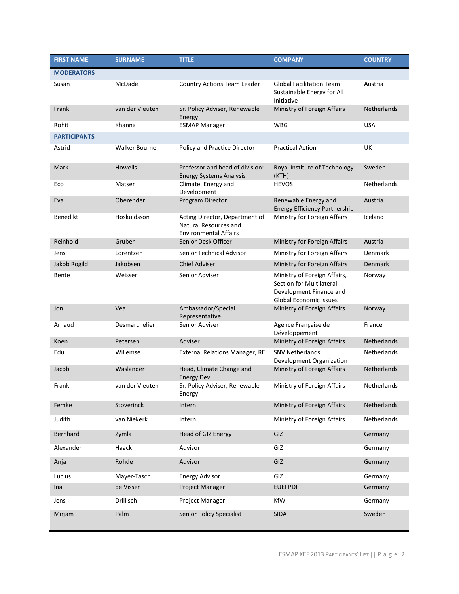| <b>FIRST NAME</b>   | <b>SURNAME</b>       | <b>TITLE</b>                                                                            | <b>COMPANY</b>                                                                                                       | <b>COUNTRY</b>     |
|---------------------|----------------------|-----------------------------------------------------------------------------------------|----------------------------------------------------------------------------------------------------------------------|--------------------|
| <b>MODERATORS</b>   |                      |                                                                                         |                                                                                                                      |                    |
| Susan               | McDade               | Country Actions Team Leader                                                             | <b>Global Facilitation Team</b><br>Sustainable Energy for All<br>Initiative                                          | Austria            |
| Frank               | van der Vleuten      | Sr. Policy Adviser, Renewable<br>Energy                                                 | Ministry of Foreign Affairs                                                                                          | <b>Netherlands</b> |
| Rohit               | Khanna               | <b>ESMAP Manager</b>                                                                    | <b>WBG</b>                                                                                                           | <b>USA</b>         |
| <b>PARTICIPANTS</b> |                      |                                                                                         |                                                                                                                      |                    |
| Astrid              | <b>Walker Bourne</b> | Policy and Practice Director                                                            | <b>Practical Action</b>                                                                                              | UK                 |
| Mark                | Howells              | Professor and head of division:<br><b>Energy Systems Analysis</b>                       | Royal Institute of Technology<br>(KTH)                                                                               | Sweden             |
| Eco                 | Matser               | Climate, Energy and<br>Development                                                      | <b>HEVOS</b>                                                                                                         | Netherlands        |
| Eva                 | Oberender            | Program Director                                                                        | Renewable Energy and<br><b>Energy Efficiency Partnership</b>                                                         | Austria            |
| <b>Benedikt</b>     | Höskuldsson          | Acting Director, Department of<br>Natural Resources and<br><b>Environmental Affairs</b> | Ministry for Foreign Affairs                                                                                         | Iceland            |
| Reinhold            | Gruber               | Senior Desk Officer                                                                     | Ministry for Foreign Affairs                                                                                         | Austria            |
| Jens                | Lorentzen            | Senior Technical Advisor                                                                | Ministry for Foreign Affairs                                                                                         | Denmark            |
| Jakob Rogild        | Jakobsen             | <b>Chief Adviser</b>                                                                    | Ministry for Foreign Affairs                                                                                         | <b>Denmark</b>     |
| Bente               | Weisser              | Senior Adviser                                                                          | Ministry of Foreign Affairs,<br>Section for Multilateral<br>Development Finance and<br><b>Global Economic Issues</b> | Norway             |
| Jon                 | Vea                  | Ambassador/Special<br>Representative                                                    | Ministry of Foreign Affairs                                                                                          | Norway             |
| Arnaud              | Desmarchelier        | Senior Adviser                                                                          | Agence Française de<br>Développement                                                                                 | France             |
| Koen                | Petersen             | Adviser                                                                                 | Ministry of Foreign Affairs                                                                                          | Netherlands        |
| Edu                 | Willemse             | External Relations Manager, RE                                                          | <b>SNV Netherlands</b><br>Development Organization                                                                   | Netherlands        |
| Jacob               | Waslander            | Head, Climate Change and<br><b>Energy Dev</b>                                           | Ministry of Foreign Affairs                                                                                          | Netherlands        |
| Frank               | van der Vleuten      | Sr. Policy Adviser, Renewable<br>Energy                                                 | Ministry of Foreign Affairs                                                                                          | Netherlands        |
| Femke               | Stoverinck           | Intern                                                                                  | Ministry of Foreign Affairs                                                                                          | Netherlands        |
| Judith              | van Niekerk          | Intern                                                                                  | Ministry of Foreign Affairs                                                                                          | Netherlands        |
| Bernhard            | Zymla                | Head of GIZ Energy                                                                      | GIZ                                                                                                                  | Germany            |
| Alexander           | Haack                | Advisor                                                                                 | GIZ                                                                                                                  | Germany            |
| Anja                | Rohde                | Advisor                                                                                 | GIZ                                                                                                                  | Germany            |
| Lucius              | Mayer-Tasch          | <b>Energy Advisor</b>                                                                   | GIZ                                                                                                                  | Germany            |
| Ina                 | de Visser            | Project Manager                                                                         | <b>EUEI PDF</b>                                                                                                      | Germany            |
| Jens                | Drillisch            | Project Manager                                                                         | KfW                                                                                                                  | Germany            |
| Mirjam              | Palm                 | <b>Senior Policy Specialist</b>                                                         | <b>SIDA</b>                                                                                                          | Sweden             |